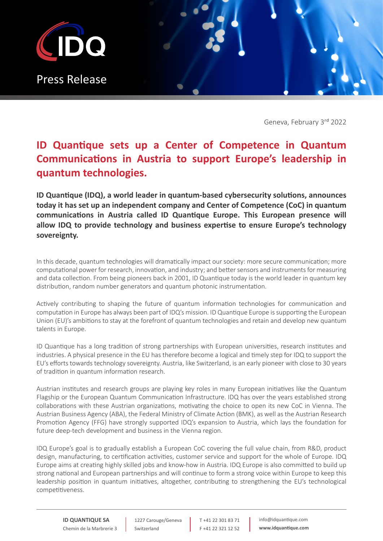

Geneva, February 3rd 2022

## **ID Quantique sets up a Center of Competence in Quantum Communications in Austria to support Europe's leadership in quantum technologies.**

**ID Quantique (IDQ), a world leader in quantum-based cybersecurity solutions, announces today it has set up an independent company and Center of Competence (CoC) in quantum communications in Austria called ID Quantique Europe. This European presence will allow IDQ to provide technology and business expertise to ensure Europe's technology sovereignty.**

In this decade, quantum technologies will dramatically impact our society: more secure communication; more computational power for research, innovation, and industry; and better sensors and instruments for measuring and data collection. From being pioneers back in 2001, ID Quantique today is the world leader in quantum key distribution, random number generators and quantum photonic instrumentation.

Actively contributing to shaping the future of quantum information technologies for communication and computation in Europe has always been part of IDQ's mission. ID Quantique Europe is supporting the European Union (EU)'s ambitions to stay at the forefront of quantum technologies and retain and develop new quantum talents in Europe.

ID Quantique has a long tradition of strong partnerships with European universities, research institutes and industries. A physical presence in the EU has therefore become a logical and timely step for IDQ to support the EU's efforts towards technology sovereignty. Austria, like Switzerland, is an early pioneer with close to 30 years of tradition in quantum information research.

Austrian institutes and research groups are playing key roles in many European initiatives like the Quantum Flagship or the European Quantum Communication Infrastructure. IDQ has over the years established strong collaborations with these Austrian organizations, motivating the choice to open its new CoC in Vienna. The Austrian Business Agency (ABA), the Federal Ministry of Climate Action (BMK), as well as the Austrian Research Promotion Agency (FFG) have strongly supported IDQ's expansion to Austria, which lays the foundation for future deep-tech development and business in the Vienna region.

IDQ Europe's goal is to gradually establish a European CoC covering the full value chain, from R&D, product design, manufacturing, to certification activities, customer service and support for the whole of Europe. IDQ Europe aims at creating highly skilled jobs and know-how in Austria. IDQ Europe is also committed to build up strong national and European partnerships and will continue to form a strong voice within Europe to keep this leadership position in quantum initiatives, altogether, contributing to strengthening the EU's technological competitiveness.

1227 Carouge/Geneva Switzerland

T +41 22 301 83 71 F +41 22 321 12 52 info@idquantique.com **www.idquantique.com**